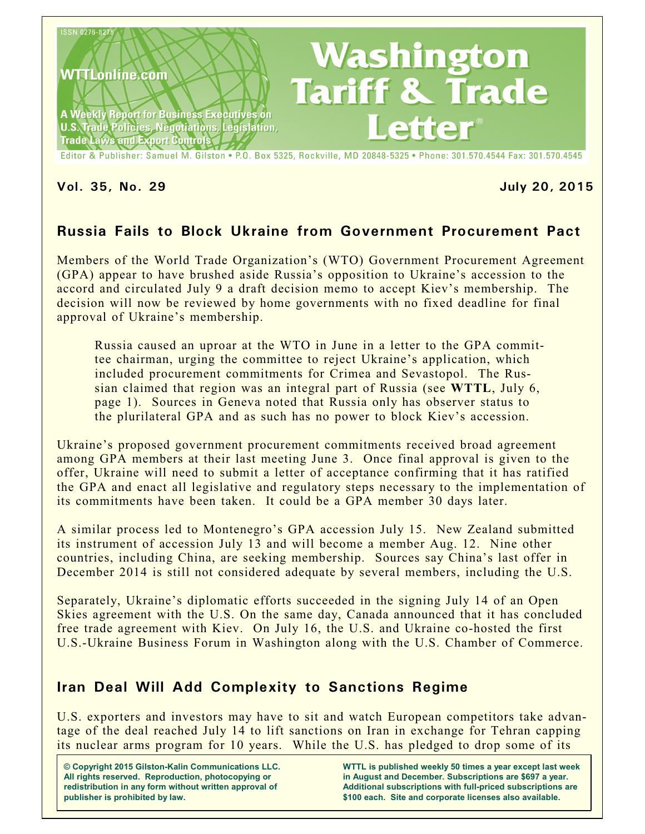

Editor & Publisher: Samuel M. Gilston . P.O. Box 5325, Rockville, MD 20848-5325 . Phone: 301.570.4544 Fax: 301.570.4545

**Vol. 35, No. 29 July 20, 2015**

# **Russia Fails to Block Ukraine from Government Procurement Pact**

Members of the World Trade Organization's (WTO) Government Procurement Agreement (GPA) appear to have brushed aside Russia's opposition to Ukraine's accession to the accord and circulated July 9 a draft decision memo to accept Kiev's membership. The decision will now be reviewed by home governments with no fixed deadline for final approval of Ukraine's membership.

Russia caused an uproar at the WTO in June in a letter to the GPA committee chairman, urging the committee to reject Ukraine's application, which included procurement commitments for Crimea and Sevastopol. The Russian claimed that region was an integral part of Russia (see **WTTL**, July 6, page 1). Sources in Geneva noted that Russia only has observer status to the plurilateral GPA and as such has no power to block Kiev's accession.

Ukraine's proposed government procurement commitments received broad agreement among GPA members at their last meeting June 3. Once final approval is given to the offer, Ukraine will need to submit a letter of acceptance confirming that it has ratified the GPA and enact all legislative and regulatory steps necessary to the implementation of its commitments have been taken. It could be a GPA member 30 days later.

A similar process led to Montenegro's GPA accession July 15. New Zealand submitted its instrument of accession July 13 and will become a member Aug. 12. Nine other countries, including China, are seeking membership. Sources say China's last offer in December 2014 is still not considered adequate by several members, including the U.S.

Separately, Ukraine's diplomatic efforts succeeded in the signing July 14 of an Open Skies agreement with the U.S. On the same day, Canada announced that it has concluded free trade agreement with Kiev. On July 16, the U.S. and Ukraine co-hosted the first U.S.-Ukraine Business Forum in Washington along with the U.S. Chamber of Commerce.

## **Iran Deal Will Add Complexity to Sanctions Regime**

U.S. exporters and investors may have to sit and watch European competitors take advantage of the deal reached July 14 to lift sanctions on Iran in exchange for Tehran capping its nuclear arms program for 10 years. While the U.S. has pledged to drop some of its

**© Copyright 2015 Gilston-Kalin Communications LLC. All rights reserved. Reproduction, photocopying or redistribution in any form without written approval of publisher is prohibited by law.** 

**WTTL is published weekly 50 times a year except last week in August and December. Subscriptions are \$697 a year. Additional subscriptions with full-priced subscriptions are \$100 each. Site and corporate licenses also available.**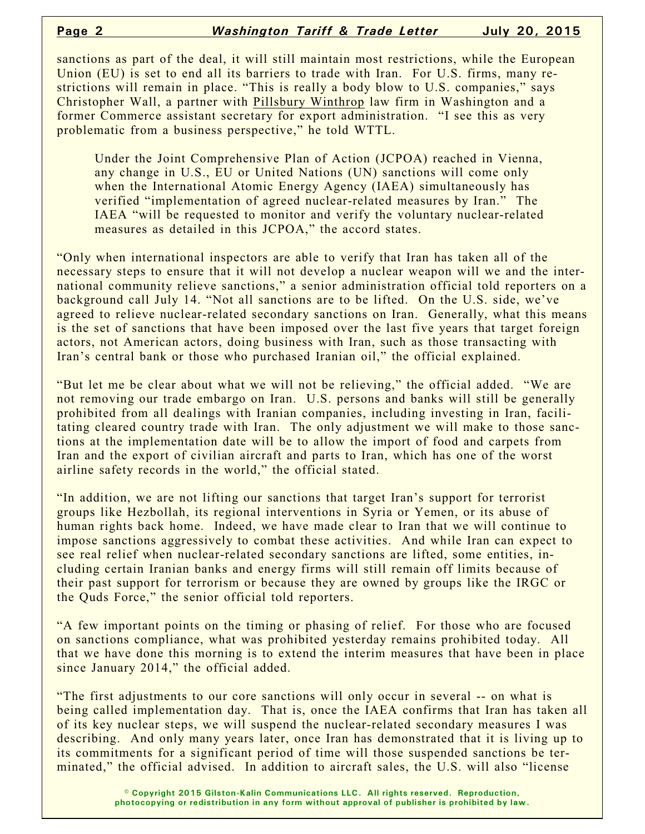sanctions as part of the deal, it will still maintain most restrictions, while the European Union (EU) is set to end all its barriers to trade with Iran. For U.S. firms, many restrictions will remain in place. "This is really a body blow to U.S. companies," says Christopher Wall, a partner with Pillsbury Winthrop law firm in Washington and a former Commerce assistant secretary for export administration. "I see this as very problematic from a business perspective," he told WTTL.

Under the Joint Comprehensive Plan of Action (JCPOA) reached in Vienna, any change in U.S., EU or United Nations (UN) sanctions will come only when the International Atomic Energy Agency (IAEA) simultaneously has verified "implementation of agreed nuclear-related measures by Iran." The IAEA "will be requested to monitor and verify the voluntary nuclear-related measures as detailed in this JCPOA," the accord states.

"Only when international inspectors are able to verify that Iran has taken all of the necessary steps to ensure that it will not develop a nuclear weapon will we and the international community relieve sanctions," a senior administration official told reporters on a background call July 14. "Not all sanctions are to be lifted. On the U.S. side, we've agreed to relieve nuclear-related secondary sanctions on Iran. Generally, what this means is the set of sanctions that have been imposed over the last five years that target foreign actors, not American actors, doing business with Iran, such as those transacting with Iran's central bank or those who purchased Iranian oil," the official explained.

"But let me be clear about what we will not be relieving," the official added. "We are not removing our trade embargo on Iran. U.S. persons and banks will still be generally prohibited from all dealings with Iranian companies, including investing in Iran, facilitating cleared country trade with Iran. The only adjustment we will make to those sanctions at the implementation date will be to allow the import of food and carpets from Iran and the export of civilian aircraft and parts to Iran, which has one of the worst airline safety records in the world," the official stated.

"In addition, we are not lifting our sanctions that target Iran's support for terrorist groups like Hezbollah, its regional interventions in Syria or Yemen, or its abuse of human rights back home. Indeed, we have made clear to Iran that we will continue to impose sanctions aggressively to combat these activities. And while Iran can expect to see real relief when nuclear-related secondary sanctions are lifted, some entities, including certain Iranian banks and energy firms will still remain off limits because of their past support for terrorism or because they are owned by groups like the IRGC or the Quds Force," the senior official told reporters.

"A few important points on the timing or phasing of relief. For those who are focused on sanctions compliance, what was prohibited yesterday remains prohibited today. All that we have done this morning is to extend the interim measures that have been in place since January 2014," the official added.

"The first adjustments to our core sanctions will only occur in several -- on what is being called implementation day. That is, once the IAEA confirms that Iran has taken all of its key nuclear steps, we will suspend the nuclear-related secondary measures I was describing. And only many years later, once Iran has demonstrated that it is living up to its commitments for a significant period of time will those suspended sanctions be terminated," the official advised. In addition to aircraft sales, the U.S. will also "license

> **© Copyright 2015 Gilston-Kalin Communications LLC. All rights reserved. Reproduction, photocopying or redistribution in any form without approval of publisher is prohibited by law.**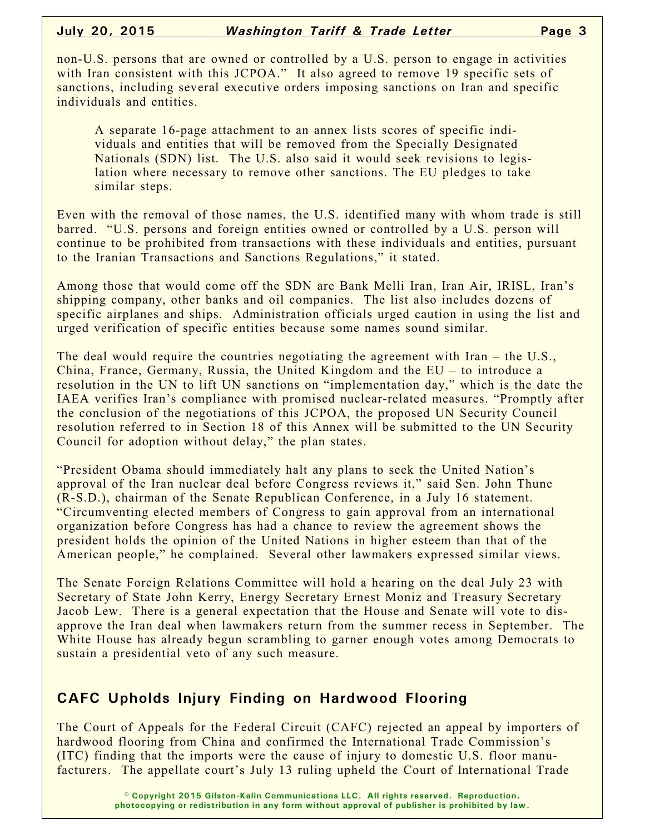non-U.S. persons that are owned or controlled by a U.S. person to engage in activities with Iran consistent with this JCPOA." It also agreed to remove 19 specific sets of sanctions, including several executive orders imposing sanctions on Iran and specific individuals and entities.

A separate 16-page attachment to an annex lists scores of specific individuals and entities that will be removed from the Specially Designated Nationals (SDN) list. The U.S. also said it would seek revisions to legislation where necessary to remove other sanctions. The EU pledges to take similar steps.

Even with the removal of those names, the U.S. identified many with whom trade is still barred. "U.S. persons and foreign entities owned or controlled by a U.S. person will continue to be prohibited from transactions with these individuals and entities, pursuant to the Iranian Transactions and Sanctions Regulations," it stated.

Among those that would come off the SDN are Bank Melli Iran, Iran Air, IRISL, Iran's shipping company, other banks and oil companies. The list also includes dozens of specific airplanes and ships. Administration officials urged caution in using the list and urged verification of specific entities because some names sound similar.

The deal would require the countries negotiating the agreement with Iran – the U.S., China, France, Germany, Russia, the United Kingdom and the EU – to introduce a resolution in the UN to lift UN sanctions on "implementation day," which is the date the IAEA verifies Iran's compliance with promised nuclear-related measures. "Promptly after the conclusion of the negotiations of this JCPOA, the proposed UN Security Council resolution referred to in Section 18 of this Annex will be submitted to the UN Security Council for adoption without delay," the plan states.

"President Obama should immediately halt any plans to seek the United Nation's approval of the Iran nuclear deal before Congress reviews it," said Sen. John Thune (R-S.D.), chairman of the Senate Republican Conference, in a July 16 statement. "Circumventing elected members of Congress to gain approval from an international organization before Congress has had a chance to review the agreement shows the president holds the opinion of the United Nations in higher esteem than that of the American people," he complained. Several other lawmakers expressed similar views.

The Senate Foreign Relations Committee will hold a hearing on the deal July 23 with Secretary of State John Kerry, Energy Secretary Ernest Moniz and Treasury Secretary Jacob Lew. There is a general expectation that the House and Senate will vote to disapprove the Iran deal when lawmakers return from the summer recess in September. The White House has already begun scrambling to garner enough votes among Democrats to sustain a presidential veto of any such measure.

## **CAFC Upholds Injury Finding on Hardwood Flooring**

The Court of Appeals for the Federal Circuit (CAFC) rejected an appeal by importers of hardwood flooring from China and confirmed the International Trade Commission's (ITC) finding that the imports were the cause of injury to domestic U.S. floor manufacturers. The appellate court's July 13 ruling upheld the Court of International Trade

> **© Copyright 2015 Gilston-Kalin Communications LLC. All rights reserved. Reproduction, photocopying or redistribution in any form without approval of publisher is prohibited by law.**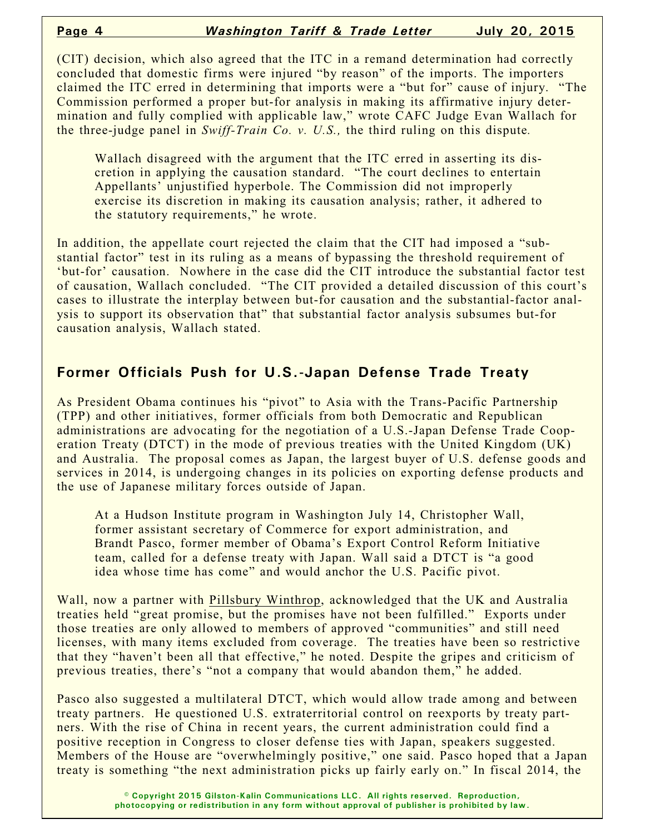(CIT) decision, which also agreed that the ITC in a remand determination had correctly concluded that domestic firms were injured "by reason" of the imports. The importers claimed the ITC erred in determining that imports were a "but for" cause of injury. "The Commission performed a proper but-for analysis in making its affirmative injury determination and fully complied with applicable law," wrote CAFC Judge Evan Wallach for the three-judge panel in *Swiff-Train Co. v. U.S.,* the third ruling on this dispute*.*

Wallach disagreed with the argument that the ITC erred in asserting its discretion in applying the causation standard. "The court declines to entertain Appellants' unjustified hyperbole. The Commission did not improperly exercise its discretion in making its causation analysis; rather, it adhered to the statutory requirements," he wrote.

In addition, the appellate court rejected the claim that the CIT had imposed a "substantial factor" test in its ruling as a means of bypassing the threshold requirement of 'but-for' causation. Nowhere in the case did the CIT introduce the substantial factor test of causation, Wallach concluded. "The CIT provided a detailed discussion of this court's cases to illustrate the interplay between but-for causation and the substantial-factor analysis to support its observation that" that substantial factor analysis subsumes but-for causation analysis, Wallach stated.

## **Former Officials Push for U.S.-Japan Defense Trade Treaty**

As President Obama continues his "pivot" to Asia with the Trans-Pacific Partnership (TPP) and other initiatives, former officials from both Democratic and Republican administrations are advocating for the negotiation of a U.S.-Japan Defense Trade Cooperation Treaty (DTCT) in the mode of previous treaties with the United Kingdom (UK) and Australia. The proposal comes as Japan, the largest buyer of U.S. defense goods and services in 2014, is undergoing changes in its policies on exporting defense products and the use of Japanese military forces outside of Japan.

At a Hudson Institute program in Washington July 14, Christopher Wall, former assistant secretary of Commerce for export administration, and Brandt Pasco, former member of Obama's Export Control Reform Initiative team, called for a defense treaty with Japan. Wall said a DTCT is "a good idea whose time has come" and would anchor the U.S. Pacific pivot.

Wall, now a partner with Pillsbury Winthrop, acknowledged that the UK and Australia treaties held "great promise, but the promises have not been fulfilled." Exports under those treaties are only allowed to members of approved "communities" and still need licenses, with many items excluded from coverage. The treaties have been so restrictive that they "haven't been all that effective," he noted. Despite the gripes and criticism of previous treaties, there's "not a company that would abandon them," he added.

Pasco also suggested a multilateral DTCT, which would allow trade among and between treaty partners. He questioned U.S. extraterritorial control on reexports by treaty partners. With the rise of China in recent years, the current administration could find a positive reception in Congress to closer defense ties with Japan, speakers suggested. Members of the House are "overwhelmingly positive," one said. Pasco hoped that a Japan treaty is something "the next administration picks up fairly early on." In fiscal 2014, the